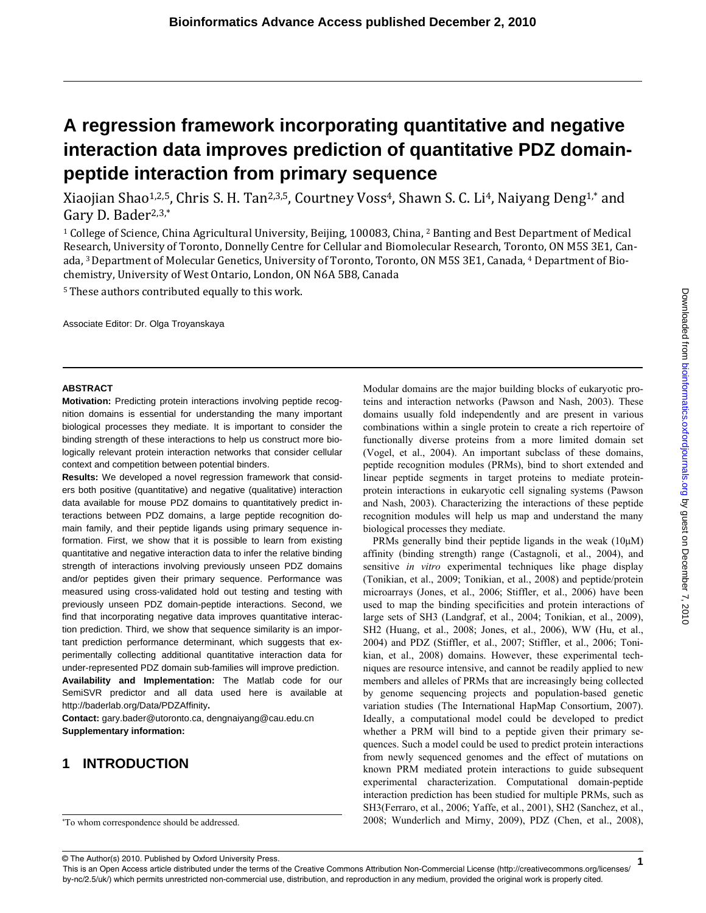# **A regression framework incorporating quantitative and negative interaction data improves prediction of quantitative PDZ domainpeptide interaction from primary sequence**

Xiaojian Shao<sup>1,2,5</sup>, Chris S. H. Tan<sup>2,3,5</sup>, Courtney Voss<sup>4</sup>, Shawn S. C. Li<sup>4</sup>, Naiyang Deng<sup>1,\*</sup> and Gary D. Bader<sup>2,3,\*</sup>

1 College of Science, China Agricultural University, Beijing, 100083, China, 2 Banting and Best Department of Medical Research, University of Toronto, Donnelly Centre for Cellular and Biomolecular Research, Toronto, ON M5S 3E1, Canada, <sup>3</sup> Department of Molecular Genetics, University of Toronto, Toronto, ON M5S 3E1, Canada, <sup>4</sup> Department of Biochemistry, University of West Ontario, London, ON N6A 5B8, Canada

<sup>5</sup> These authors contributed equally to this work.

Associate Editor: Dr. Olga Troyanskaya

#### **ABSTRACT**

**Motivation:** Predicting protein interactions involving peptide recognition domains is essential for understanding the many important biological processes they mediate. It is important to consider the binding strength of these interactions to help us construct more biologically relevant protein interaction networks that consider cellular context and competition between potential binders.

**Results:** We developed a novel regression framework that considers both positive (quantitative) and negative (qualitative) interaction data available for mouse PDZ domains to quantitatively predict interactions between PDZ domains, a large peptide recognition domain family, and their peptide ligands using primary sequence information. First, we show that it is possible to learn from existing quantitative and negative interaction data to infer the relative binding strength of interactions involving previously unseen PDZ domains and/or peptides given their primary sequence. Performance was measured using cross-validated hold out testing and testing with previously unseen PDZ domain-peptide interactions. Second, we find that incorporating negative data improves quantitative interaction prediction. Third, we show that sequence similarity is an important prediction performance determinant, which suggests that experimentally collecting additional quantitative interaction data for under-represented PDZ domain sub-families will improve prediction. **Availability and Implementation:** The Matlab code for our SemiSVR predictor and all data used here is available at http://baderlab.org/Data/PDZAffinity**.** 

**Contact:** gary.bader@utoronto.ca, dengnaiyang@cau.edu.cn **Supplementary information:** 

# **1 INTRODUCTION**

Modular domains are the major building blocks of eukaryotic proteins and interaction networks (Pawson and Nash, 2003). These domains usually fold independently and are present in various combinations within a single protein to create a rich repertoire of functionally diverse proteins from a more limited domain set (Vogel, et al., 2004). An important subclass of these domains, peptide recognition modules (PRMs), bind to short extended and linear peptide segments in target proteins to mediate proteinprotein interactions in eukaryotic cell signaling systems (Pawson and Nash, 2003). Characterizing the interactions of these peptide recognition modules will help us map and understand the many biological processes they mediate.

PRMs generally bind their peptide ligands in the weak  $(10\mu)$ affinity (binding strength) range (Castagnoli, et al., 2004), and sensitive *in vitro* experimental techniques like phage display (Tonikian, et al., 2009; Tonikian, et al., 2008) and peptide/protein microarrays (Jones, et al., 2006; Stiffler, et al., 2006) have been used to map the binding specificities and protein interactions of large sets of SH3 (Landgraf, et al., 2004; Tonikian, et al., 2009), SH2 (Huang, et al., 2008; Jones, et al., 2006), WW (Hu, et al., 2004) and PDZ (Stiffler, et al., 2007; Stiffler, et al., 2006; Tonikian, et al., 2008) domains. However, these experimental techniques are resource intensive, and cannot be readily applied to new members and alleles of PRMs that are increasingly being collected by genome sequencing projects and population-based genetic variation studies (The International HapMap Consortium, 2007). Ideally, a computational model could be developed to predict whether a PRM will bind to a peptide given their primary sequences. Such a model could be used to predict protein interactions from newly sequenced genomes and the effect of mutations on known PRM mediated protein interactions to guide subsequent experimental characterization. Computational domain-peptide interaction prediction has been studied for multiple PRMs, such as SH3(Ferraro, et al., 2006; Yaffe, et al., 2001), SH2 (Sanchez, et al., 2008; Wunderlich and Mirny, 2009), PDZ (Chen, et al., 2008),

Downloaded from bioinformatics.oxfordjournals.org by guest on December 7, 2010 by guest on December 7, 2010 [bioinformatics.oxfordjournals.org](http://bioinformatics.oxfordjournals.org/) Downloaded from

© The Author(s) 2010. Published by Oxford University Press.

This is an Open Access article distributed under the terms of the Creative Commons Attribution Non-Commercial License (http://creativecommons.org/licenses/ by-nc/2.5/uk/) which permits unrestricted non-commercial use, distribution, and reproduction in any medium, provided the original work is properly cited.

<sup>\*</sup> To whom correspondence should be addressed.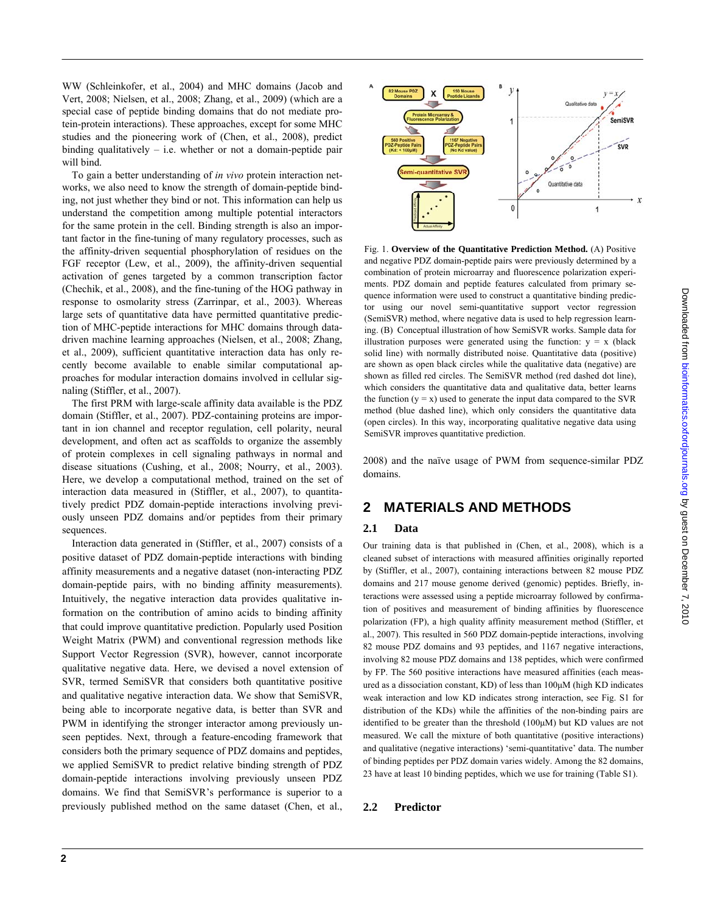WW (Schleinkofer, et al., 2004) and MHC domains (Jacob and Vert, 2008; Nielsen, et al., 2008; Zhang, et al., 2009) (which are a special case of peptide binding domains that do not mediate protein-protein interactions). These approaches, except for some MHC studies and the pioneering work of (Chen, et al., 2008), predict binding qualitatively  $-$  i.e. whether or not a domain-peptide pair will bind.

To gain a better understanding of *in vivo* protein interaction networks, we also need to know the strength of domain-peptide binding, not just whether they bind or not. This information can help us understand the competition among multiple potential interactors for the same protein in the cell. Binding strength is also an important factor in the fine-tuning of many regulatory processes, such as the affinity-driven sequential phosphorylation of residues on the FGF receptor (Lew, et al., 2009), the affinity-driven sequential activation of genes targeted by a common transcription factor (Chechik, et al., 2008), and the fine-tuning of the HOG pathway in response to osmolarity stress (Zarrinpar, et al., 2003). Whereas large sets of quantitative data have permitted quantitative prediction of MHC-peptide interactions for MHC domains through datadriven machine learning approaches (Nielsen, et al., 2008; Zhang, et al., 2009), sufficient quantitative interaction data has only recently become available to enable similar computational approaches for modular interaction domains involved in cellular signaling (Stiffler, et al., 2007).

The first PRM with large-scale affinity data available is the PDZ domain (Stiffler, et al., 2007). PDZ-containing proteins are important in ion channel and receptor regulation, cell polarity, neural development, and often act as scaffolds to organize the assembly of protein complexes in cell signaling pathways in normal and disease situations (Cushing, et al., 2008; Nourry, et al., 2003). Here, we develop a computational method, trained on the set of interaction data measured in (Stiffler, et al., 2007), to quantitatively predict PDZ domain-peptide interactions involving previously unseen PDZ domains and/or peptides from their primary sequences.

Interaction data generated in (Stiffler, et al., 2007) consists of a positive dataset of PDZ domain-peptide interactions with binding affinity measurements and a negative dataset (non-interacting PDZ domain-peptide pairs, with no binding affinity measurements). Intuitively, the negative interaction data provides qualitative information on the contribution of amino acids to binding affinity that could improve quantitative prediction. Popularly used Position Weight Matrix (PWM) and conventional regression methods like Support Vector Regression (SVR), however, cannot incorporate qualitative negative data. Here, we devised a novel extension of SVR, termed SemiSVR that considers both quantitative positive and qualitative negative interaction data. We show that SemiSVR, being able to incorporate negative data, is better than SVR and PWM in identifying the stronger interactor among previously unseen peptides. Next, through a feature-encoding framework that considers both the primary sequence of PDZ domains and peptides, we applied SemiSVR to predict relative binding strength of PDZ domain-peptide interactions involving previously unseen PDZ domains. We find that SemiSVR's performance is superior to a previously published method on the same dataset (Chen, et al.,



Fig. 1. **Overview of the Quantitative Prediction Method.** (A) Positive and negative PDZ domain-peptide pairs were previously determined by a combination of protein microarray and fluorescence polarization experiments. PDZ domain and peptide features calculated from primary sequence information were used to construct a quantitative binding predictor using our novel semi-quantitative support vector regression (SemiSVR) method, where negative data is used to help regression learning. (B) Conceptual illustration of how SemiSVR works. Sample data for illustration purposes were generated using the function:  $y = x$  (black solid line) with normally distributed noise. Quantitative data (positive) are shown as open black circles while the qualitative data (negative) are shown as filled red circles. The SemiSVR method (red dashed dot line), which considers the quantitative data and qualitative data, better learns the function  $(y = x)$  used to generate the input data compared to the SVR method (blue dashed line), which only considers the quantitative data (open circles). In this way, incorporating qualitative negative data using SemiSVR improves quantitative prediction.

2008) and the naïve usage of PWM from sequence-similar PDZ domains.

## **2 MATERIALS AND METHODS**

#### **2.1 Data**

Our training data is that published in (Chen, et al., 2008), which is a cleaned subset of interactions with measured affinities originally reported by (Stiffler, et al., 2007), containing interactions between 82 mouse PDZ domains and 217 mouse genome derived (genomic) peptides. Briefly, interactions were assessed using a peptide microarray followed by confirmation of positives and measurement of binding affinities by fluorescence polarization (FP), a high quality affinity measurement method (Stiffler, et al., 2007). This resulted in 560 PDZ domain-peptide interactions, involving 82 mouse PDZ domains and 93 peptides, and 1167 negative interactions, involving 82 mouse PDZ domains and 138 peptides, which were confirmed by FP. The 560 positive interactions have measured affinities (each measured as a dissociation constant, KD) of less than 100μM (high KD indicates weak interaction and low KD indicates strong interaction, see Fig. S1 for distribution of the KDs) while the affinities of the non-binding pairs are identified to be greater than the threshold (100μM) but KD values are not measured. We call the mixture of both quantitative (positive interactions) and qualitative (negative interactions) 'semi-quantitative' data. The number of binding peptides per PDZ domain varies widely. Among the 82 domains, 23 have at least 10 binding peptides, which we use for training (Table S1).

## **2.2 Predictor**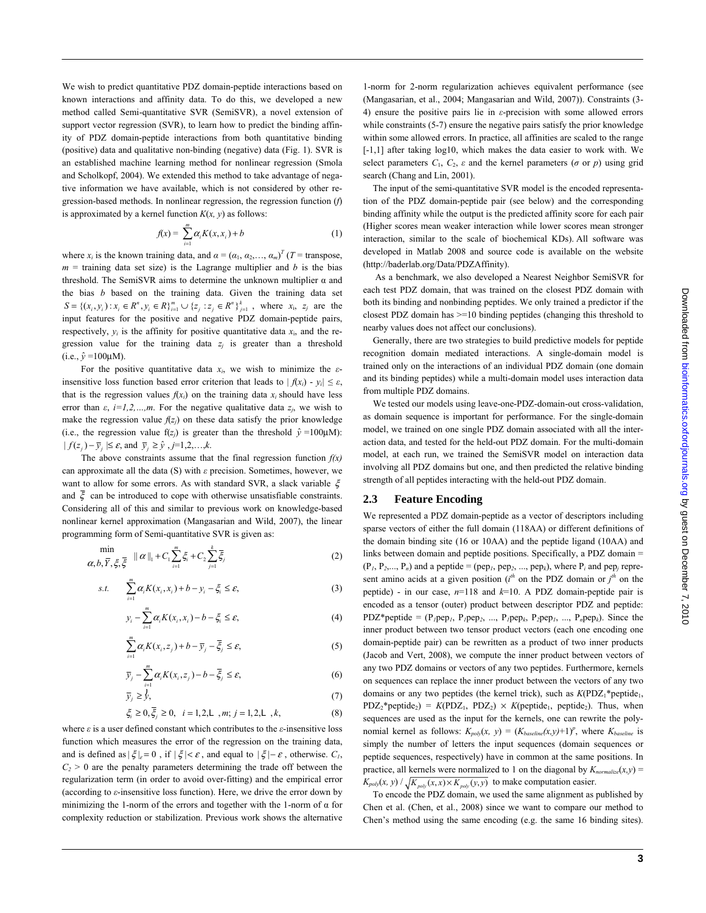We wish to predict quantitative PDZ domain-peptide interactions based on known interactions and affinity data. To do this, we developed a new method called Semi-quantitative SVR (SemiSVR), a novel extension of support vector regression (SVR), to learn how to predict the binding affinity of PDZ domain-peptide interactions from both quantitative binding (positive) data and qualitative non-binding (negative) data (Fig. 1). SVR is an established machine learning method for nonlinear regression (Smola and Scholkopf, 2004). We extended this method to take advantage of negative information we have available, which is not considered by other regression-based methods. In nonlinear regression, the regression function (*f*) is approximated by a kernel function  $K(x, y)$  as follows:

$$
f(x) = \sum_{i=1}^{m} \alpha_i K(x, x_i) + b \tag{1}
$$

where  $x_i$  is the known training data, and  $\alpha = (\alpha_1, \alpha_2, \dots, \alpha_m)^T$  (*T* = transpose,  $m =$  training data set size) is the Lagrange multiplier and *b* is the bias threshold. The SemiSVR aims to determine the unknown multiplier α and the bias *b* based on the training data. Given the training data set  $S = \{(x_i, y_i) : x_i \in R^n, y_i \in R\}_{i=1}^m \cup \{z_j : z_j \in R^n\}_{j=1}^k$ , where  $x_i, z_j$  are the input features for the positive and negative PDZ domain-peptide pairs, respectively,  $y_i$  is the affinity for positive quantitative data  $x_i$ , and the regression value for the training data  $z_i$  is greater than a threshold  $(i.e., \hat{v} = 100 \mu M).$ 

For the positive quantitative data  $x_i$ , we wish to minimize the  $\varepsilon$ insensitive loss function based error criterion that leads to  $| f(x_i) - y_i | \le \varepsilon$ , that is the regression values  $f(x_i)$  on the training data  $x_i$  should have less error than  $\varepsilon$ ,  $i=1,2,...,m$ . For the negative qualitative data  $z_i$ , we wish to make the regression value  $f(z_j)$  on these data satisfy the prior knowledge (i.e., the regression value  $f(z_j)$  is greater than the threshold  $\hat{y} = 100 \mu M$ ):  $| f(z_i) - \overline{y}_i | \le \varepsilon$ , and  $\overline{y}_i \ge \hat{y}_i$ , *j*=1,2,...,*k*.

The above constraints assume that the final regression function  $f(x)$ can approximate all the data (S) with *ε* precision. Sometimes, however, we want to allow for some errors. As with standard SVR, a slack variable ξ and  $\bar{\xi}$  can be introduced to cope with otherwise unsatisfiable constraints. Considering all of this and similar to previous work on knowledge-based nonlinear kernel approximation (Mangasarian and Wild, 2007), the linear programming form of Semi-quantitative SVR is given as:

$$
\min_{\alpha, b, \overline{Y}, \xi, \overline{\xi}} \|\alpha\|_{1} + C_{1} \sum_{i=1}^{m} \xi_{i} + C_{2} \sum_{j=1}^{k} \overline{\xi}_{j}
$$
(2)

$$
s.t. \qquad \sum_{i=1}^{m} \alpha_i K(x_i, x_i) + b - y_i - \xi_i \le \varepsilon, \tag{3}
$$

$$
y_i - \sum_{i=1}^m \alpha_i K(x_i, x_i) - b - \zeta_i \le \varepsilon,
$$
\n<sup>(4)</sup>

$$
\sum_{i=1}^{m} \alpha_i K(x_i, z_j) + b - \overline{y}_j - \overline{\xi}_j \le \varepsilon, \tag{5}
$$

$$
\overline{y}_j - \sum_{i=1}^m \alpha_i K(x_i, z_j) - b - \overline{\xi}_j \le \varepsilon,\tag{6}
$$

$$
\bar{y}_j \ge \bar{y},\tag{7}
$$

$$
\xi_i \ge 0, \overline{\xi_j} \ge 0, \quad i = 1, 2, L, m; j = 1, 2, L, k,
$$
\n(8)

where *ε* is a user defined constant which contributes to the *ε*-insensitive loss function which measures the error of the regression on the training data, and is defined as  $|\xi|_{\varepsilon} = 0$ , if  $|\xi| < \varepsilon$ , and equal to  $|\xi| - \varepsilon$ , otherwise.  $C_1$ ,  $C_2$  > 0 are the penalty parameters determining the trade off between the regularization term (in order to avoid over-fitting) and the empirical error (according to *ε*-insensitive loss function). Here, we drive the error down by minimizing the 1-norm of the errors and together with the 1-norm of  $\alpha$  for complexity reduction or stabilization. Previous work shows the alternative

1-norm for 2-norm regularization achieves equivalent performance (see (Mangasarian, et al., 2004; Mangasarian and Wild, 2007)). Constraints (3- 4) ensure the positive pairs lie in *ε*-precision with some allowed errors while constraints (5-7) ensure the negative pairs satisfy the prior knowledge within some allowed errors. In practice, all affinities are scaled to the range [-1,1] after taking log10, which makes the data easier to work with. We select parameters  $C_1$ ,  $C_2$ ,  $\varepsilon$  and the kernel parameters ( $\sigma$  or  $p$ ) using grid search (Chang and Lin, 2001).

The input of the semi-quantitative SVR model is the encoded representation of the PDZ domain-peptide pair (see below) and the corresponding binding affinity while the output is the predicted affinity score for each pair (Higher scores mean weaker interaction while lower scores mean stronger interaction, similar to the scale of biochemical KDs). All software was developed in Matlab 2008 and source code is available on the website (http://baderlab.org/Data/PDZAffinity).

 As a benchmark, we also developed a Nearest Neighbor SemiSVR for each test PDZ domain, that was trained on the closest PDZ domain with both its binding and nonbinding peptides. We only trained a predictor if the closest PDZ domain has >=10 binding peptides (changing this threshold to nearby values does not affect our conclusions).

Generally, there are two strategies to build predictive models for peptide recognition domain mediated interactions. A single-domain model is trained only on the interactions of an individual PDZ domain (one domain and its binding peptides) while a multi-domain model uses interaction data from multiple PDZ domains.

We tested our models using leave-one-PDZ-domain-out cross-validation, as domain sequence is important for performance. For the single-domain model, we trained on one single PDZ domain associated with all the interaction data, and tested for the held-out PDZ domain. For the multi-domain model, at each run, we trained the SemiSVR model on interaction data involving all PDZ domains but one, and then predicted the relative binding strength of all peptides interacting with the held-out PDZ domain.

#### **2.3 Feature Encoding**

We represented a PDZ domain-peptide as a vector of descriptors including sparse vectors of either the full domain (118AA) or different definitions of the domain binding site (16 or 10AA) and the peptide ligand (10AA) and links between domain and peptide positions. Specifically, a PDZ domain =  $(P_1, P_2,..., P_n)$  and a peptide = (pep<sub>1</sub>, pep<sub>2</sub>, ..., pep<sub>k</sub>), where  $P_i$  and pep<sub>*j*</sub> represent amino acids at a given position ( $i<sup>th</sup>$  on the PDZ domain or  $j<sup>th</sup>$  on the peptide) - in our case, *n*=118 and *k*=10. A PDZ domain-peptide pair is encoded as a tensor (outer) product between descriptor PDZ and peptide: PDZ\*peptide =  $(P_I \text{pep}_I, P_I \text{pep}_2, ..., P_I \text{pep}_k, P_I \text{pep}_I, ..., P_n \text{pep}_k)$ . Since the inner product between two tensor product vectors (each one encoding one domain-peptide pair) can be rewritten as a product of two inner products (Jacob and Vert, 2008), we compute the inner product between vectors of any two PDZ domains or vectors of any two peptides. Furthermore, kernels on sequences can replace the inner product between the vectors of any two domains or any two peptides (the kernel trick), such as  $K(PDZ_1^*$  peptide<sub>1</sub>,  $PDZ_2^*$ peptide<sub>2</sub>) =  $K(PDZ_1, PDZ_2) \times K(p$ eptide<sub>1</sub>, peptide<sub>2</sub>). Thus, when sequences are used as the input for the kernels, one can rewrite the polynomial kernel as follows:  $K_{poly}(x, y) = (K_{baseline}(x, y) + 1)^p$ , where  $K_{baseline}$  is simply the number of letters the input sequences (domain sequences or peptide sequences, respectively) have in common at the same positions. In practice, all kernels were normalized to 1 on the diagonal by  $K_{normalize}(x, y)$  =  $K_{poly}(x, y) / \sqrt{K_{poly}(x, x) \times K_{poly}(y, y)}$  to make computation easier.

To encode the PDZ domain, we used the same alignment as published by Chen et al. (Chen, et al., 2008) since we want to compare our method to Chen's method using the same encoding (e.g. the same 16 binding sites).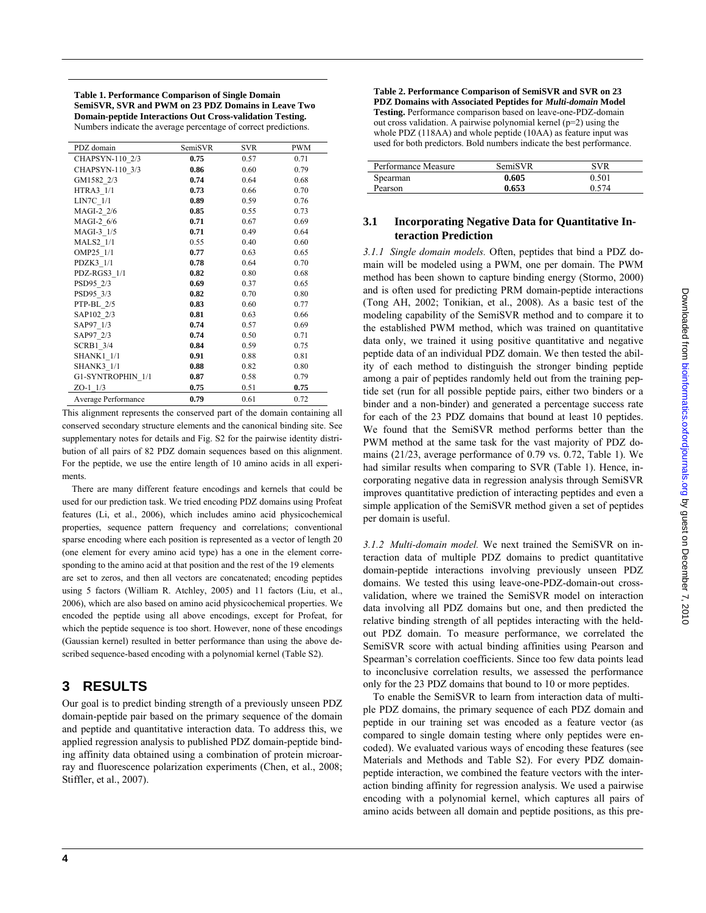**Table 1. Performance Comparison of Single Domain SemiSVR, SVR and PWM on 23 PDZ Domains in Leave Two Domain-peptide Interactions Out Cross-validation Testing.** Numbers indicate the average percentage of correct predictions.

| PDZ domain          | SemiSVR | SVR  | PWM  |
|---------------------|---------|------|------|
| CHAPSYN-110 2/3     | 0.75    | 0.57 | 0.71 |
| CHAPSYN-110 3/3     | 0.86    | 0.60 | 0.79 |
| GM1582 2/3          | 0.74    | 0.64 | 0.68 |
| HTRA3 1/1           | 0.73    | 0.66 | 0.70 |
| LIN7C 1/1           | 0.89    | 0.59 | 0.76 |
| MAGI-2 2/6          | 0.85    | 0.55 | 0.73 |
| MAGI-2 6/6          | 0.71    | 0.67 | 0.69 |
| MAGI-3 1/5          | 0.71    | 0.49 | 0.64 |
| <b>MALS2</b> 1/1    | 0.55    | 0.40 | 0.60 |
| OMP25 1/1           | 0.77    | 0.63 | 0.65 |
| PDZK3_1/1           | 0.78    | 0.64 | 0.70 |
| PDZ-RGS3 1/1        | 0.82    | 0.80 | 0.68 |
| PSD95 2/3           | 0.69    | 0.37 | 0.65 |
| PSD95 3/3           | 0.82    | 0.70 | 0.80 |
| PTP-BL 2/5          | 0.83    | 0.60 | 0.77 |
| SAP102 2/3          | 0.81    | 0.63 | 0.66 |
| SAP97 1/3           | 0.74    | 0.57 | 0.69 |
| SAP97 2/3           | 0.74    | 0.50 | 0.71 |
| <b>SCRB1 3/4</b>    | 0.84    | 0.59 | 0.75 |
| <b>SHANK1 1/1</b>   | 0.91    | 0.88 | 0.81 |
| <b>SHANK3 1/1</b>   | 0.88    | 0.82 | 0.80 |
| G1-SYNTROPHIN 1/1   | 0.87    | 0.58 | 0.79 |
| $ZO-1$ 1/3          | 0.75    | 0.51 | 0.75 |
| Average Performance | 0.79    | 0.61 | 0.72 |

This alignment represents the conserved part of the domain containing all conserved secondary structure elements and the canonical binding site. See supplementary notes for details and Fig. S2 for the pairwise identity distribution of all pairs of 82 PDZ domain sequences based on this alignment. For the peptide, we use the entire length of 10 amino acids in all experiments.

There are many different feature encodings and kernels that could be used for our prediction task. We tried encoding PDZ domains using Profeat features (Li, et al., 2006), which includes amino acid physicochemical properties, sequence pattern frequency and correlations; conventional sparse encoding where each position is represented as a vector of length 20 (one element for every amino acid type) has a one in the element corresponding to the amino acid at that position and the rest of the 19 elements are set to zeros, and then all vectors are concatenated; encoding peptides using 5 factors (William R. Atchley, 2005) and 11 factors (Liu, et al., 2006), which are also based on amino acid physicochemical properties. We encoded the peptide using all above encodings, except for Profeat, for which the peptide sequence is too short. However, none of these encodings (Gaussian kernel) resulted in better performance than using the above described sequence-based encoding with a polynomial kernel (Table S2).

# **3 RESULTS**

Our goal is to predict binding strength of a previously unseen PDZ domain-peptide pair based on the primary sequence of the domain and peptide and quantitative interaction data. To address this, we applied regression analysis to published PDZ domain-peptide binding affinity data obtained using a combination of protein microarray and fluorescence polarization experiments (Chen, et al., 2008; Stiffler, et al., 2007).

**Table 2. Performance Comparison of SemiSVR and SVR on 23 PDZ Domains with Associated Peptides for** *Multi-domain* **Model Testing.** Performance comparison based on leave-one-PDZ-domain out cross validation. A pairwise polynomial kernel  $(p=2)$  using the whole PDZ (118AA) and whole peptide (10AA) as feature input was used for both predictors. Bold numbers indicate the best performance.

| Performance Measure | <b>SemiSVR</b> | SVR   |
|---------------------|----------------|-------|
| Spearman            | 0.605          | 0.501 |
| Pearson             | 0.653          | 0.574 |

## **3.1 Incorporating Negative Data for Quantitative Interaction Prediction**

*3.1.1 Single domain models.* Often, peptides that bind a PDZ domain will be modeled using a PWM, one per domain. The PWM method has been shown to capture binding energy (Stormo, 2000) and is often used for predicting PRM domain-peptide interactions (Tong AH, 2002; Tonikian, et al., 2008). As a basic test of the modeling capability of the SemiSVR method and to compare it to the established PWM method, which was trained on quantitative data only, we trained it using positive quantitative and negative peptide data of an individual PDZ domain. We then tested the ability of each method to distinguish the stronger binding peptide among a pair of peptides randomly held out from the training peptide set (run for all possible peptide pairs, either two binders or a binder and a non-binder) and generated a percentage success rate for each of the 23 PDZ domains that bound at least 10 peptides. We found that the SemiSVR method performs better than the PWM method at the same task for the vast majority of PDZ domains (21/23, average performance of 0.79 vs. 0.72, Table 1). We had similar results when comparing to SVR (Table 1). Hence, incorporating negative data in regression analysis through SemiSVR improves quantitative prediction of interacting peptides and even a simple application of the SemiSVR method given a set of peptides per domain is useful.

*3.1.2 Multi-domain model.* We next trained the SemiSVR on interaction data of multiple PDZ domains to predict quantitative domain-peptide interactions involving previously unseen PDZ domains. We tested this using leave-one-PDZ-domain-out crossvalidation, where we trained the SemiSVR model on interaction data involving all PDZ domains but one, and then predicted the relative binding strength of all peptides interacting with the heldout PDZ domain. To measure performance, we correlated the SemiSVR score with actual binding affinities using Pearson and Spearman's correlation coefficients. Since too few data points lead to inconclusive correlation results, we assessed the performance only for the 23 PDZ domains that bound to 10 or more peptides.

To enable the SemiSVR to learn from interaction data of multiple PDZ domains, the primary sequence of each PDZ domain and peptide in our training set was encoded as a feature vector (as compared to single domain testing where only peptides were encoded). We evaluated various ways of encoding these features (see Materials and Methods and Table S2). For every PDZ domainpeptide interaction, we combined the feature vectors with the interaction binding affinity for regression analysis. We used a pairwise encoding with a polynomial kernel, which captures all pairs of amino acids between all domain and peptide positions, as this pre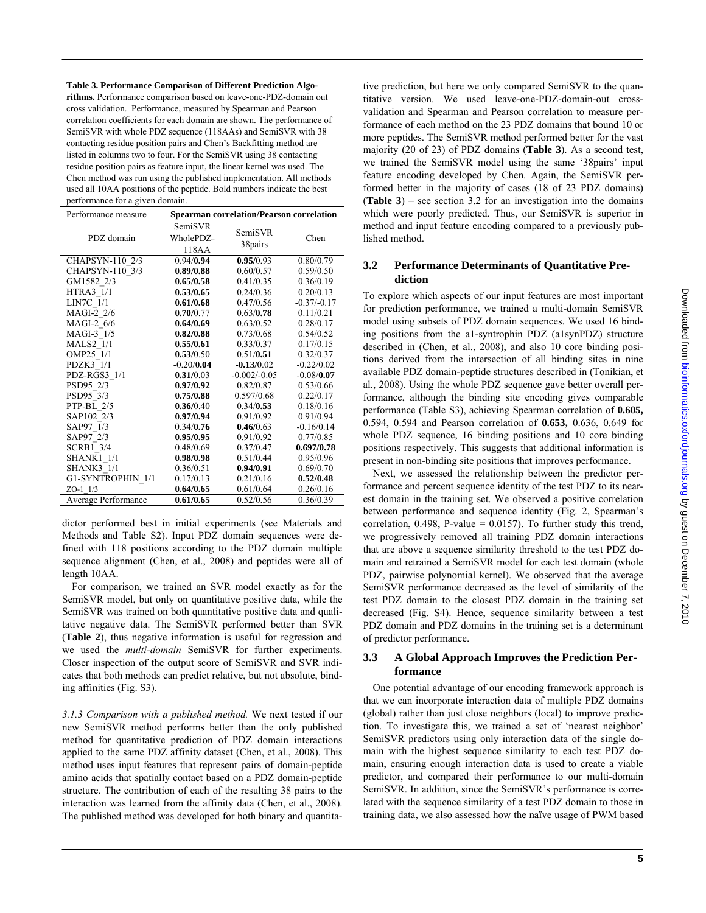**Table 3. Performance Comparison of Different Prediction Algo-**

**rithms.** Performance comparison based on leave-one-PDZ-domain out cross validation. Performance, measured by Spearman and Pearson correlation coefficients for each domain are shown. The performance of SemiSVR with whole PDZ sequence (118AAs) and SemiSVR with 38 contacting residue position pairs and Chen's Backfitting method are listed in columns two to four. For the SemiSVR using 38 contacting residue position pairs as feature input, the linear kernel was used. The Chen method was run using the published implementation. All methods used all 10AA positions of the peptide. Bold numbers indicate the best performance for a given domain.

| Performance measure | <b>Spearman correlation/Pearson correlation</b> |                |               |  |
|---------------------|-------------------------------------------------|----------------|---------------|--|
| PDZ domain          | SemiSVR<br>SemiSVR<br>WholePDZ-                 |                | Chen          |  |
|                     | 118AA                                           | 38pairs        |               |  |
| CHAPSYN-110 2/3     | 0.94/0.94                                       | 0.95/0.93      | 0.80/0.79     |  |
| CHAPSYN-110 3/3     | 0.89/0.88                                       | 0.60/0.57      | 0.59/0.50     |  |
| GM1582 2/3          | 0.65/0.58                                       | 0.41/0.35      | 0.36/0.19     |  |
| <b>HTRA3 1/1</b>    | 0.53/0.65                                       | 0.24/0.36      | 0.20/0.13     |  |
| LIN7C 1/1           | 0.61/0.68                                       | 0.47/0.56      | $-0.37/-0.17$ |  |
| MAGI-2 2/6          | 0.70/0.77                                       | 0.63/0.78      | 0.11/0.21     |  |
| MAGI-2 6/6          | 0.64/0.69                                       | 0.63/0.52      | 0.28/0.17     |  |
| MAGI-3 1/5          | 0.82/0.88                                       | 0.73/0.68      | 0.54/0.52     |  |
| <b>MALS2 1/1</b>    | 0.55/0.61                                       | 0.33/0.37      | 0.17/0.15     |  |
| OMP25 1/1           | 0.53/0.50                                       | 0.51/0.51      | 0.32/0.37     |  |
| PDZK3 1/1           | $-0.20/0.04$                                    | $-0.13/0.02$   | $-0.22/0.02$  |  |
| PDZ-RGS3 1/1        | 0.31/0.03                                       | $-0.002/-0.05$ | $-0.08/0.07$  |  |
| PSD95 2/3           | 0.97/0.92                                       | 0.82/0.87      | 0.53/0.66     |  |
| PSD95 3/3           | 0.75/0.88                                       | 0.597/0.68     | 0.22/0.17     |  |
| PTP-BL 2/5          | 0.36/0.40                                       | 0.34/0.53      | 0.18/0.16     |  |
| SAP102 2/3          | 0.97/0.94                                       | 0.91/0.92      | 0.91/0.94     |  |
| SAP97 1/3           | 0.34/0.76                                       | 0.46/0.63      | $-0.16/0.14$  |  |
| SAP97 2/3           | 0.95/0.95                                       | 0.91/0.92      | 0.77/0.85     |  |
| <b>SCRB1 3/4</b>    | 0.48/0.69                                       | 0.37/0.47      | 0.697/0.78    |  |
| <b>SHANK1 1/1</b>   | 0.98/0.98                                       | 0.51/0.44      | 0.95/0.96     |  |
| <b>SHANK3 1/1</b>   | 0.36/0.51                                       | 0.94/0.91      | 0.69/0.70     |  |
| G1-SYNTROPHIN 1/1   | 0.17/0.13                                       | 0.21/0.16      | 0.52/0.48     |  |
| $ZO-1$ $1/3$        | 0.64/0.65                                       | 0.61/0.64      | 0.26/0.16     |  |
| Average Performance | 0.61/0.65                                       | 0.52/0.56      | 0.36/0.39     |  |

dictor performed best in initial experiments (see Materials and Methods and Table S2). Input PDZ domain sequences were defined with 118 positions according to the PDZ domain multiple sequence alignment (Chen, et al., 2008) and peptides were all of length 10AA.

For comparison, we trained an SVR model exactly as for the SemiSVR model, but only on quantitative positive data, while the SemiSVR was trained on both quantitative positive data and qualitative negative data. The SemiSVR performed better than SVR (**Table 2**), thus negative information is useful for regression and we used the *multi-domain* SemiSVR for further experiments. Closer inspection of the output score of SemiSVR and SVR indicates that both methods can predict relative, but not absolute, binding affinities (Fig. S3).

*3.1.3 Comparison with a published method.* We next tested if our new SemiSVR method performs better than the only published method for quantitative prediction of PDZ domain interactions applied to the same PDZ affinity dataset (Chen, et al., 2008). This method uses input features that represent pairs of domain-peptide amino acids that spatially contact based on a PDZ domain-peptide structure. The contribution of each of the resulting 38 pairs to the interaction was learned from the affinity data (Chen, et al., 2008). The published method was developed for both binary and quantitative prediction, but here we only compared SemiSVR to the quantitative version. We used leave-one-PDZ-domain-out crossvalidation and Spearman and Pearson correlation to measure performance of each method on the 23 PDZ domains that bound 10 or more peptides. The SemiSVR method performed better for the vast majority (20 of 23) of PDZ domains (**Table 3**). As a second test, we trained the SemiSVR model using the same '38pairs' input feature encoding developed by Chen. Again, the SemiSVR performed better in the majority of cases (18 of 23 PDZ domains) (**Table 3**) – see section 3.2 for an investigation into the domains which were poorly predicted. Thus, our SemiSVR is superior in method and input feature encoding compared to a previously published method.

## **3.2 Performance Determinants of Quantitative Prediction**

To explore which aspects of our input features are most important for prediction performance, we trained a multi-domain SemiSVR model using subsets of PDZ domain sequences. We used 16 binding positions from the a1-syntrophin PDZ (a1synPDZ) structure described in (Chen, et al., 2008), and also 10 core binding positions derived from the intersection of all binding sites in nine available PDZ domain-peptide structures described in (Tonikian, et al., 2008). Using the whole PDZ sequence gave better overall performance, although the binding site encoding gives comparable performance (Table S3), achieving Spearman correlation of **0.605,** 0.594, 0.594 and Pearson correlation of **0.653,** 0.636, 0.649 for whole PDZ sequence, 16 binding positions and 10 core binding positions respectively. This suggests that additional information is present in non-binding site positions that improves performance.

Next, we assessed the relationship between the predictor performance and percent sequence identity of the test PDZ to its nearest domain in the training set. We observed a positive correlation between performance and sequence identity (Fig. 2, Spearman's correlation,  $0.498$ , P-value =  $0.0157$ ). To further study this trend, we progressively removed all training PDZ domain interactions that are above a sequence similarity threshold to the test PDZ domain and retrained a SemiSVR model for each test domain (whole PDZ, pairwise polynomial kernel). We observed that the average SemiSVR performance decreased as the level of similarity of the test PDZ domain to the closest PDZ domain in the training set decreased (Fig. S4). Hence, sequence similarity between a test PDZ domain and PDZ domains in the training set is a determinant of predictor performance.

## **3.3 A Global Approach Improves the Prediction Performance**

One potential advantage of our encoding framework approach is that we can incorporate interaction data of multiple PDZ domains (global) rather than just close neighbors (local) to improve prediction. To investigate this, we trained a set of 'nearest neighbor' SemiSVR predictors using only interaction data of the single domain with the highest sequence similarity to each test PDZ domain, ensuring enough interaction data is used to create a viable predictor, and compared their performance to our multi-domain SemiSVR. In addition, since the SemiSVR's performance is correlated with the sequence similarity of a test PDZ domain to those in training data, we also assessed how the naïve usage of PWM based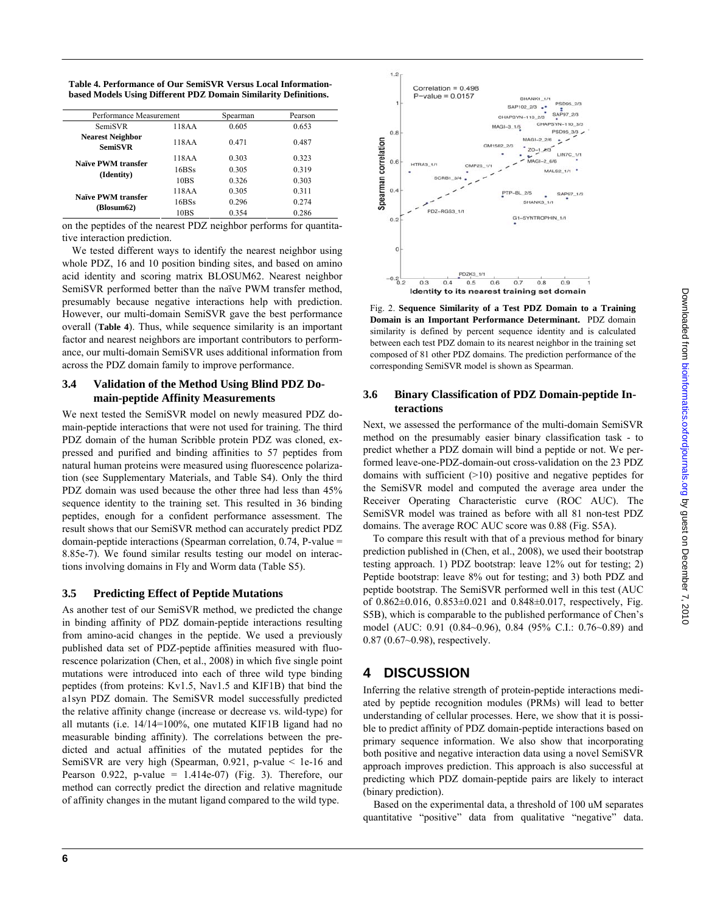|  |  |  | Table 4. Performance of Our SemiSVR Versus Local Information-   |
|--|--|--|-----------------------------------------------------------------|
|  |  |  | based Models Using Different PDZ Domain Similarity Definitions. |

| Performance Measurement                   |                  | Spearman | Pearson |
|-------------------------------------------|------------------|----------|---------|
| <b>SemiSVR</b>                            | 118AA            | 0.605    | 0.653   |
| <b>Nearest Neighbor</b><br><b>SemiSVR</b> | 118AA            | 0.471    | 0.487   |
| Naïve PWM transfer<br>(Identity)          | 118AA            | 0.303    | 0.323   |
|                                           | 16BSs            | 0.305    | 0.319   |
|                                           | 10 <sub>BS</sub> | 0.326    | 0.303   |
| Naïve PWM transfer<br>(Blosum62)          | 118AA            | 0.305    | 0.311   |
|                                           | 16BSs            | 0.296    | 0.274   |
|                                           | 10BS             | 0.354    | 0.286   |

on the peptides of the nearest PDZ neighbor performs for quantitative interaction prediction.

We tested different ways to identify the nearest neighbor using whole PDZ, 16 and 10 position binding sites, and based on amino acid identity and scoring matrix BLOSUM62. Nearest neighbor SemiSVR performed better than the naïve PWM transfer method, presumably because negative interactions help with prediction. However, our multi-domain SemiSVR gave the best performance overall (**Table 4**). Thus, while sequence similarity is an important factor and nearest neighbors are important contributors to performance, our multi-domain SemiSVR uses additional information from across the PDZ domain family to improve performance.

#### **3.4 Validation of the Method Using Blind PDZ Domain-peptide Affinity Measurements**

We next tested the SemiSVR model on newly measured PDZ domain-peptide interactions that were not used for training. The third PDZ domain of the human Scribble protein PDZ was cloned, expressed and purified and binding affinities to 57 peptides from natural human proteins were measured using fluorescence polarization (see Supplementary Materials, and Table S4). Only the third PDZ domain was used because the other three had less than 45% sequence identity to the training set. This resulted in 36 binding peptides, enough for a confident performance assessment. The result shows that our SemiSVR method can accurately predict PDZ domain-peptide interactions (Spearman correlation, 0.74, P-value = 8.85e-7). We found similar results testing our model on interactions involving domains in Fly and Worm data (Table S5).

#### **3.5 Predicting Effect of Peptide Mutations**

As another test of our SemiSVR method, we predicted the change in binding affinity of PDZ domain-peptide interactions resulting from amino-acid changes in the peptide. We used a previously published data set of PDZ-peptide affinities measured with fluorescence polarization (Chen, et al., 2008) in which five single point mutations were introduced into each of three wild type binding peptides (from proteins: Kv1.5, Nav1.5 and KIF1B) that bind the a1syn PDZ domain. The SemiSVR model successfully predicted the relative affinity change (increase or decrease vs. wild-type) for all mutants (i.e. 14/14=100%, one mutated KIF1B ligand had no measurable binding affinity). The correlations between the predicted and actual affinities of the mutated peptides for the SemiSVR are very high (Spearman, 0.921, p-value < 1e-16 and Pearson  $0.922$ , p-value =  $1.414e-07$ ) (Fig. 3). Therefore, our method can correctly predict the direction and relative magnitude of affinity changes in the mutant ligand compared to the wild type.



Fig. 2. **Sequence Similarity of a Test PDZ Domain to a Training Domain is an Important Performance Determinant.** PDZ domain similarity is defined by percent sequence identity and is calculated between each test PDZ domain to its nearest neighbor in the training set composed of 81 other PDZ domains. The prediction performance of the corresponding SemiSVR model is shown as Spearman.

#### **3.6 Binary Classification of PDZ Domain-peptide Interactions**

Next, we assessed the performance of the multi-domain SemiSVR method on the presumably easier binary classification task - to predict whether a PDZ domain will bind a peptide or not. We performed leave-one-PDZ-domain-out cross-validation on the 23 PDZ domains with sufficient  $(>10)$  positive and negative peptides for the SemiSVR model and computed the average area under the Receiver Operating Characteristic curve (ROC AUC). The SemiSVR model was trained as before with all 81 non-test PDZ domains. The average ROC AUC score was 0.88 (Fig. S5A).

To compare this result with that of a previous method for binary prediction published in (Chen, et al., 2008), we used their bootstrap testing approach. 1) PDZ bootstrap: leave 12% out for testing; 2) Peptide bootstrap: leave 8% out for testing; and 3) both PDZ and peptide bootstrap. The SemiSVR performed well in this test (AUC of 0.862±0.016, 0.853±0.021 and 0.848±0.017, respectively, Fig. S5B), which is comparable to the published performance of Chen's model (AUC: 0.91 (0.84~0.96), 0.84 (95% C.I.: 0.76~0.89) and 0.87 (0.67~0.98), respectively.

# **4 DISCUSSION**

Inferring the relative strength of protein-peptide interactions mediated by peptide recognition modules (PRMs) will lead to better understanding of cellular processes. Here, we show that it is possible to predict affinity of PDZ domain-peptide interactions based on primary sequence information. We also show that incorporating both positive and negative interaction data using a novel SemiSVR approach improves prediction. This approach is also successful at predicting which PDZ domain-peptide pairs are likely to interact (binary prediction).

 Based on the experimental data, a threshold of 100 uM separates quantitative "positive" data from qualitative "negative" data.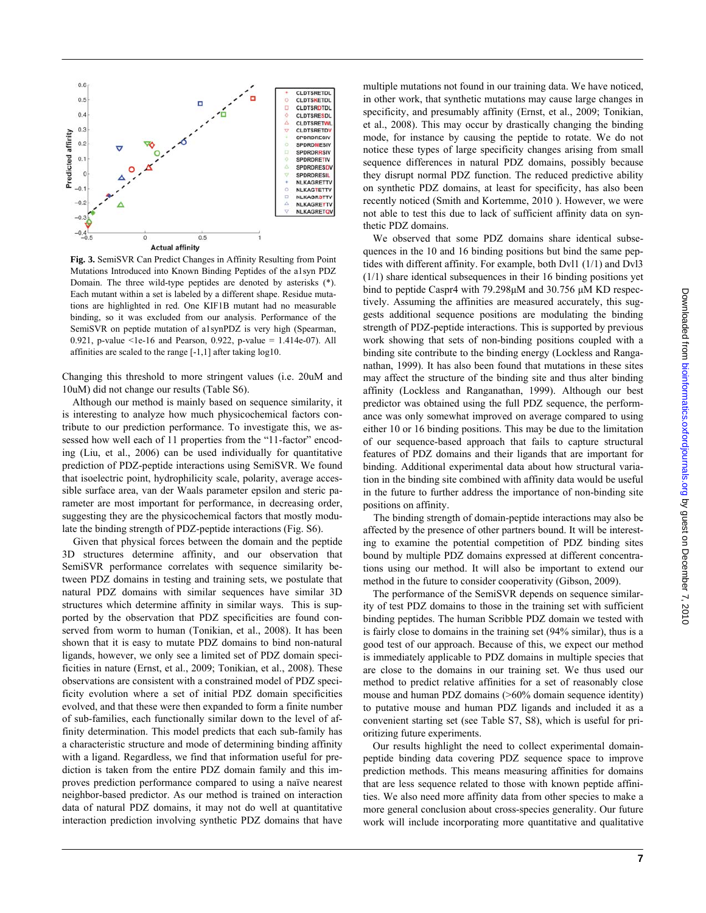

**Fig. 3.** SemiSVR Can Predict Changes in Affinity Resulting from Point Mutations Introduced into Known Binding Peptides of the a1syn PDZ Domain. The three wild-type peptides are denoted by asterisks (\*). Each mutant within a set is labeled by a different shape. Residue mutations are highlighted in red. One KIF1B mutant had no measurable binding, so it was excluded from our analysis. Performance of the SemiSVR on peptide mutation of a1synPDZ is very high (Spearman, 0.921, p-value <1e-16 and Pearson, 0.922, p-value =  $1.414e-07$ ). All affinities are scaled to the range [-1,1] after taking log10.

Changing this threshold to more stringent values (i.e. 20uM and 10uM) did not change our results (Table S6).

 Although our method is mainly based on sequence similarity, it is interesting to analyze how much physicochemical factors contribute to our prediction performance. To investigate this, we assessed how well each of 11 properties from the "11-factor" encoding (Liu, et al., 2006) can be used individually for quantitative prediction of PDZ-peptide interactions using SemiSVR. We found that isoelectric point, hydrophilicity scale, polarity, average accessible surface area, van der Waals parameter epsilon and steric parameter are most important for performance, in decreasing order, suggesting they are the physicochemical factors that mostly modulate the binding strength of PDZ-peptide interactions (Fig. S6).

 Given that physical forces between the domain and the peptide 3D structures determine affinity, and our observation that SemiSVR performance correlates with sequence similarity between PDZ domains in testing and training sets, we postulate that natural PDZ domains with similar sequences have similar 3D structures which determine affinity in similar ways. This is supported by the observation that PDZ specificities are found conserved from worm to human (Tonikian, et al., 2008). It has been shown that it is easy to mutate PDZ domains to bind non-natural ligands, however, we only see a limited set of PDZ domain specificities in nature (Ernst, et al., 2009; Tonikian, et al., 2008). These observations are consistent with a constrained model of PDZ specificity evolution where a set of initial PDZ domain specificities evolved, and that these were then expanded to form a finite number of sub-families, each functionally similar down to the level of affinity determination. This model predicts that each sub-family has a characteristic structure and mode of determining binding affinity with a ligand. Regardless, we find that information useful for prediction is taken from the entire PDZ domain family and this improves prediction performance compared to using a naïve nearest neighbor-based predictor. As our method is trained on interaction data of natural PDZ domains, it may not do well at quantitative interaction prediction involving synthetic PDZ domains that have multiple mutations not found in our training data. We have noticed, in other work, that synthetic mutations may cause large changes in specificity, and presumably affinity (Ernst, et al., 2009; Tonikian, et al., 2008). This may occur by drastically changing the binding mode, for instance by causing the peptide to rotate. We do not notice these types of large specificity changes arising from small sequence differences in natural PDZ domains, possibly because they disrupt normal PDZ function. The reduced predictive ability on synthetic PDZ domains, at least for specificity, has also been recently noticed (Smith and Kortemme, 2010 ). However, we were not able to test this due to lack of sufficient affinity data on synthetic PDZ domains.

We observed that some PDZ domains share identical subsequences in the 10 and 16 binding positions but bind the same peptides with different affinity. For example, both Dvl1 (1/1) and Dvl3 (1/1) share identical subsequences in their 16 binding positions yet bind to peptide Caspr4 with 79.298μM and 30.756 μM KD respectively. Assuming the affinities are measured accurately, this suggests additional sequence positions are modulating the binding strength of PDZ-peptide interactions. This is supported by previous work showing that sets of non-binding positions coupled with a binding site contribute to the binding energy (Lockless and Ranganathan, 1999). It has also been found that mutations in these sites may affect the structure of the binding site and thus alter binding affinity (Lockless and Ranganathan, 1999). Although our best predictor was obtained using the full PDZ sequence, the performance was only somewhat improved on average compared to using either 10 or 16 binding positions. This may be due to the limitation of our sequence-based approach that fails to capture structural features of PDZ domains and their ligands that are important for binding. Additional experimental data about how structural variation in the binding site combined with affinity data would be useful in the future to further address the importance of non-binding site positions on affinity.

 The binding strength of domain-peptide interactions may also be affected by the presence of other partners bound. It will be interesting to examine the potential competition of PDZ binding sites bound by multiple PDZ domains expressed at different concentrations using our method. It will also be important to extend our method in the future to consider cooperativity (Gibson, 2009).

The performance of the SemiSVR depends on sequence similarity of test PDZ domains to those in the training set with sufficient binding peptides. The human Scribble PDZ domain we tested with is fairly close to domains in the training set (94% similar), thus is a good test of our approach. Because of this, we expect our method is immediately applicable to PDZ domains in multiple species that are close to the domains in our training set. We thus used our method to predict relative affinities for a set of reasonably close mouse and human PDZ domains (>60% domain sequence identity) to putative mouse and human PDZ ligands and included it as a convenient starting set (see Table S7, S8), which is useful for prioritizing future experiments.

Our results highlight the need to collect experimental domainpeptide binding data covering PDZ sequence space to improve prediction methods. This means measuring affinities for domains that are less sequence related to those with known peptide affinities. We also need more affinity data from other species to make a more general conclusion about cross-species generality. Our future work will include incorporating more quantitative and qualitative